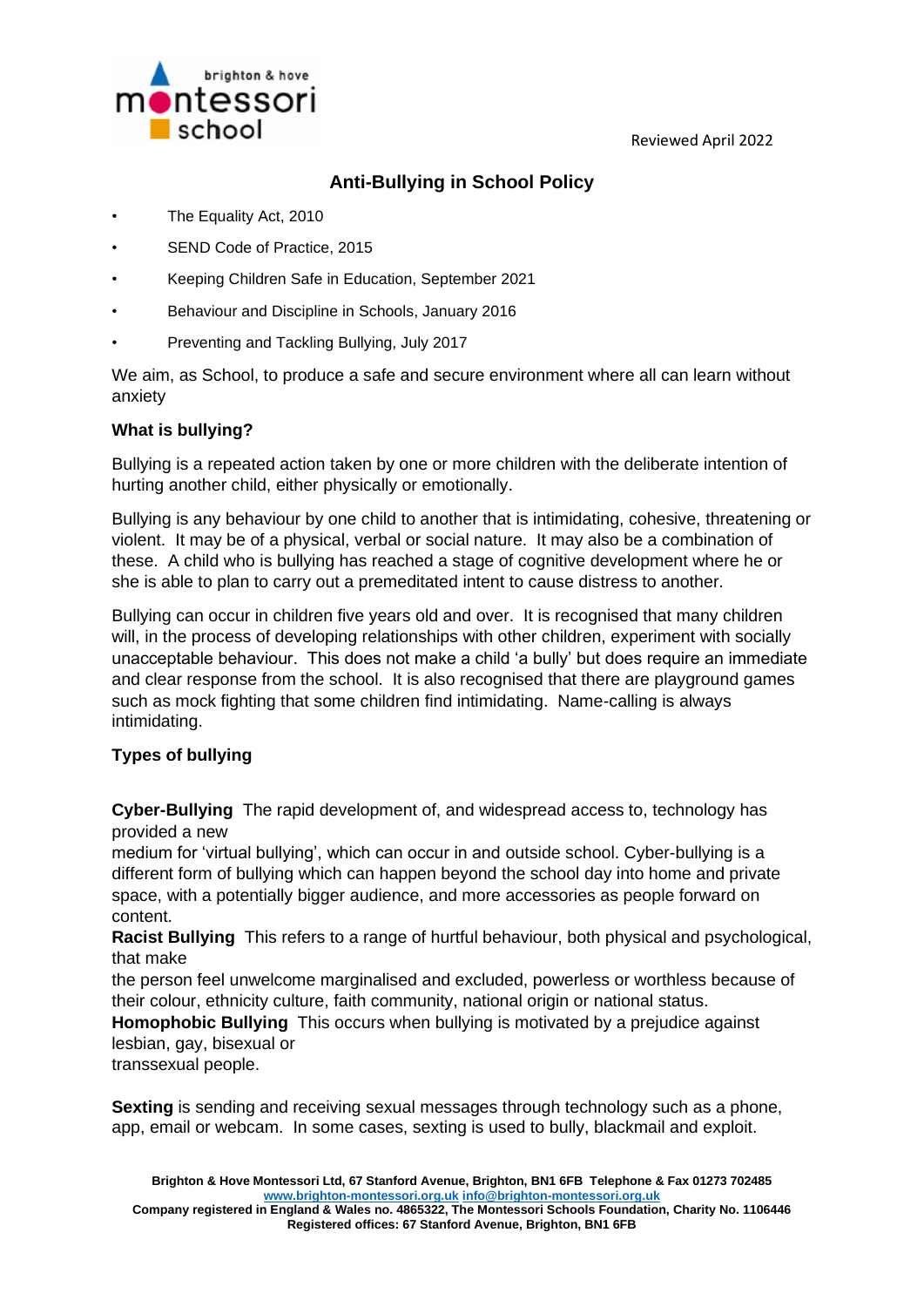Reviewed April 2022



# **Anti-Bullying in School Policy**

- The Equality Act, 2010
- SEND Code of Practice, 2015
- Keeping Children Safe in Education, September 2021
- Behaviour and Discipline in Schools, January 2016
- Preventing and Tackling Bullying, July 2017

We aim, as School, to produce a safe and secure environment where all can learn without anxiety

# **What is bullying?**

Bullying is a repeated action taken by one or more children with the deliberate intention of hurting another child, either physically or emotionally.

Bullying is any behaviour by one child to another that is intimidating, cohesive, threatening or violent. It may be of a physical, verbal or social nature. It may also be a combination of these. A child who is bullying has reached a stage of cognitive development where he or she is able to plan to carry out a premeditated intent to cause distress to another.

Bullying can occur in children five years old and over. It is recognised that many children will, in the process of developing relationships with other children, experiment with socially unacceptable behaviour. This does not make a child 'a bully' but does require an immediate and clear response from the school. It is also recognised that there are playground games such as mock fighting that some children find intimidating. Name-calling is always intimidating.

# **Types of bullying**

**Cyber-Bullying** The rapid development of, and widespread access to, technology has provided a new

medium for 'virtual bullying', which can occur in and outside school. Cyber-bullying is a different form of bullying which can happen beyond the school day into home and private space, with a potentially bigger audience, and more accessories as people forward on content.

**Racist Bullying** This refers to a range of hurtful behaviour, both physical and psychological, that make

the person feel unwelcome marginalised and excluded, powerless or worthless because of their colour, ethnicity culture, faith community, national origin or national status.

**Homophobic Bullying** This occurs when bullying is motivated by a prejudice against lesbian, gay, bisexual or

transsexual people.

**Sexting** is sending and receiving sexual messages through technology such as a phone, app, email or webcam. In some cases, sexting is used to bully, blackmail and exploit.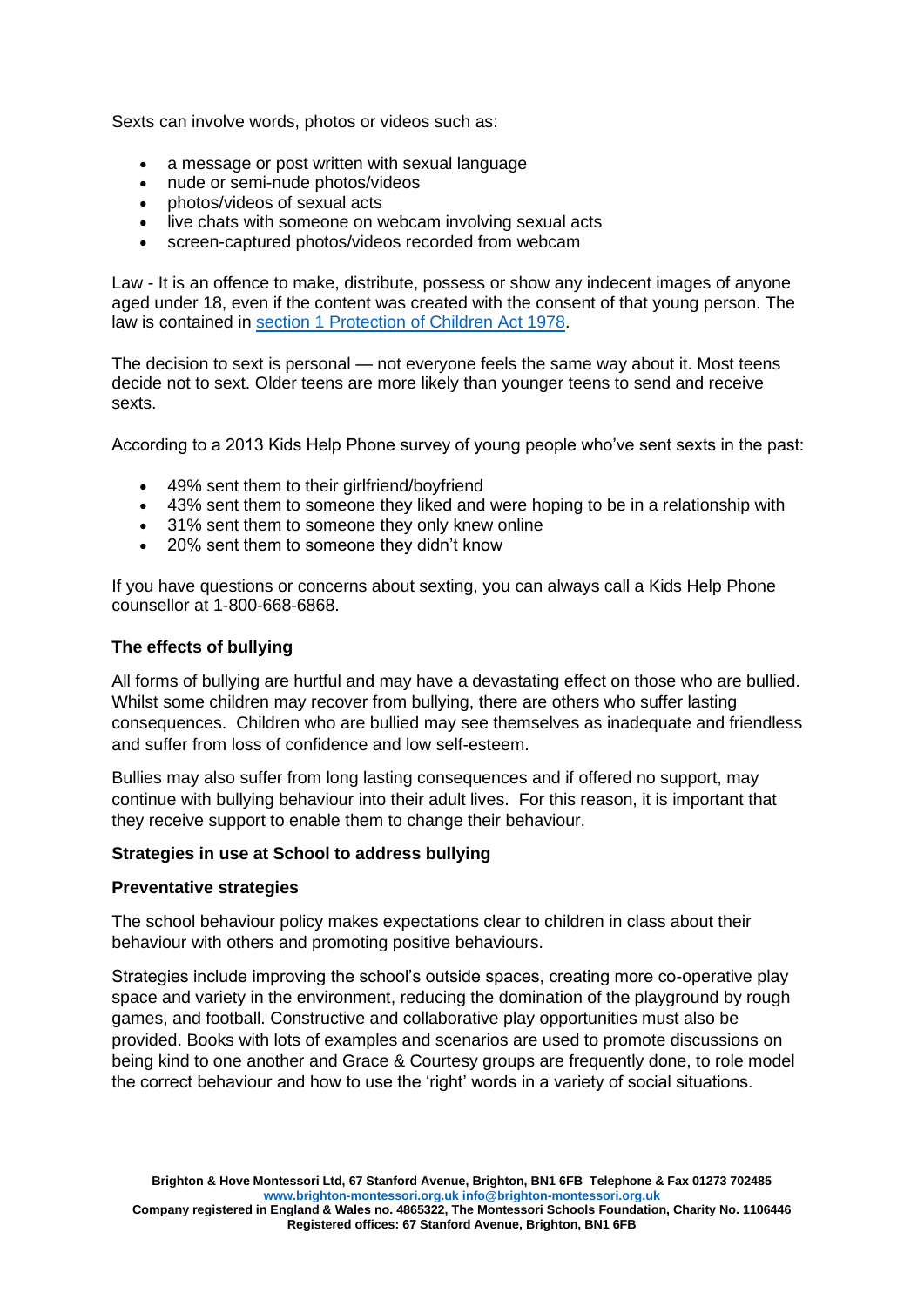Sexts can involve words, photos or videos such as:

- a message or post written with sexual language
- nude or semi-nude photos/videos
- photos/videos of sexual acts
- live chats with someone on webcam involving sexual acts
- screen-captured photos/videos recorded from webcam

Law - It is an offence to make, distribute, possess or show any indecent images of anyone aged under 18, even if the content was created with the consent of that young person. The law is contained in [section 1 Protection of Children Act 1978.](http://www.legislation.gov.uk/ukpga/1978/37)

The decision to sext is personal — not everyone feels the same way about it. Most teens decide not to sext. Older teens are more likely than younger teens to send and receive sexts.

According to a 2013 Kids Help Phone survey of young people who've sent sexts in the past:

- 49% sent them to their girlfriend/boyfriend
- 43% sent them to someone they liked and were hoping to be in a relationship with
- 31% sent them to someone they only knew online
- 20% sent them to someone they didn't know

If you have questions or concerns about sexting, you can always call a Kids Help Phone counsellor at 1-800-668-6868.

## **The effects of bullying**

All forms of bullying are hurtful and may have a devastating effect on those who are bullied. Whilst some children may recover from bullying, there are others who suffer lasting consequences. Children who are bullied may see themselves as inadequate and friendless and suffer from loss of confidence and low self-esteem.

Bullies may also suffer from long lasting consequences and if offered no support, may continue with bullying behaviour into their adult lives. For this reason, it is important that they receive support to enable them to change their behaviour.

#### **Strategies in use at School to address bullying**

#### **Preventative strategies**

The school behaviour policy makes expectations clear to children in class about their behaviour with others and promoting positive behaviours.

Strategies include improving the school's outside spaces, creating more co-operative play space and variety in the environment, reducing the domination of the playground by rough games, and football. Constructive and collaborative play opportunities must also be provided. Books with lots of examples and scenarios are used to promote discussions on being kind to one another and Grace & Courtesy groups are frequently done, to role model the correct behaviour and how to use the 'right' words in a variety of social situations.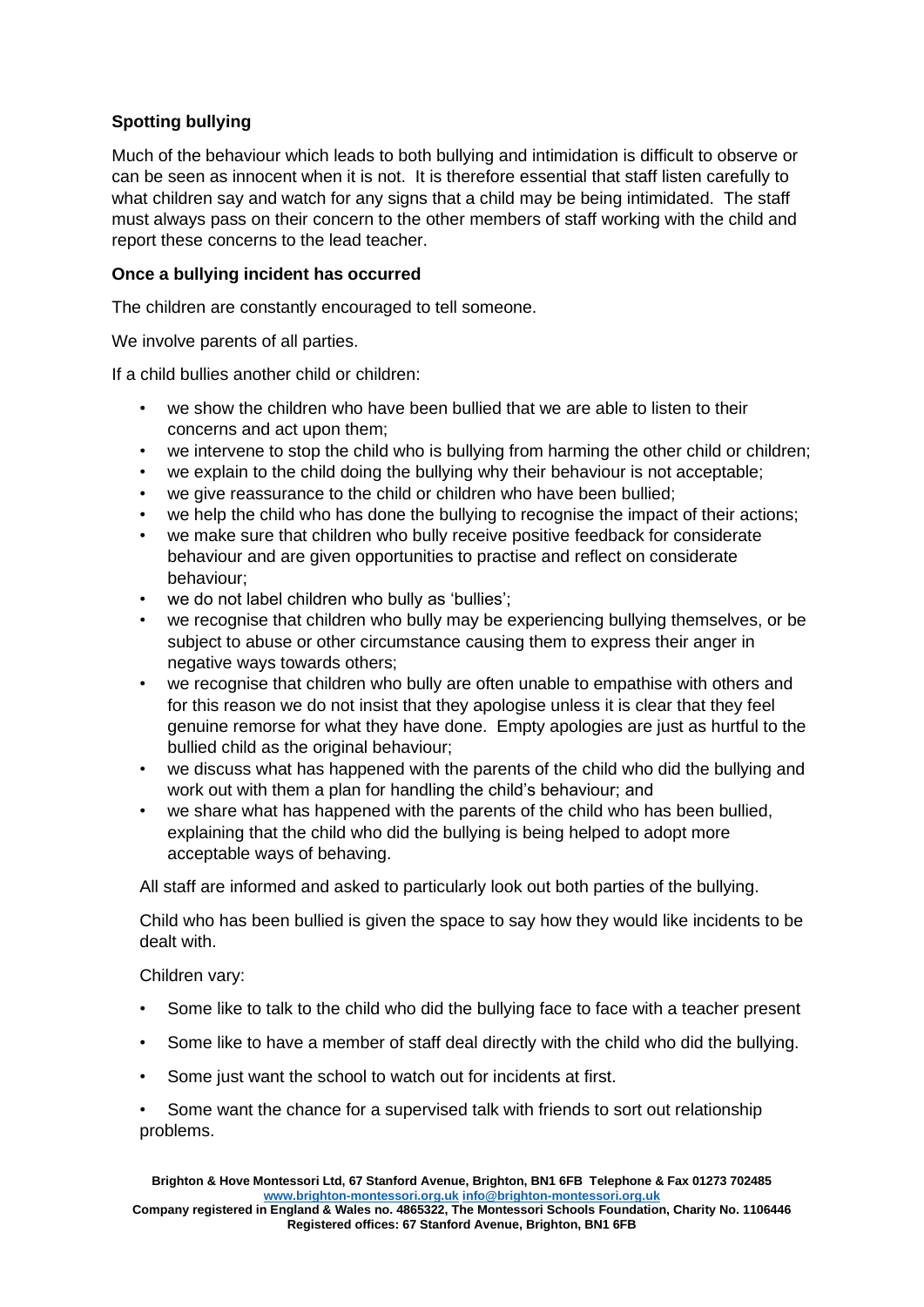# **Spotting bullying**

Much of the behaviour which leads to both bullying and intimidation is difficult to observe or can be seen as innocent when it is not. It is therefore essential that staff listen carefully to what children say and watch for any signs that a child may be being intimidated. The staff must always pass on their concern to the other members of staff working with the child and report these concerns to the lead teacher.

## **Once a bullying incident has occurred**

The children are constantly encouraged to tell someone.

We involve parents of all parties.

If a child bullies another child or children:

- we show the children who have been bullied that we are able to listen to their concerns and act upon them;
- we intervene to stop the child who is bullying from harming the other child or children;
- we explain to the child doing the bullying why their behaviour is not acceptable;
- we give reassurance to the child or children who have been bullied;
- we help the child who has done the bullying to recognise the impact of their actions;
- we make sure that children who bully receive positive feedback for considerate behaviour and are given opportunities to practise and reflect on considerate behaviour;
- we do not label children who bully as 'bullies';
- we recognise that children who bully may be experiencing bullying themselves, or be subject to abuse or other circumstance causing them to express their anger in negative ways towards others;
- we recognise that children who bully are often unable to empathise with others and for this reason we do not insist that they apologise unless it is clear that they feel genuine remorse for what they have done. Empty apologies are just as hurtful to the bullied child as the original behaviour;
- we discuss what has happened with the parents of the child who did the bullying and work out with them a plan for handling the child's behaviour; and
- we share what has happened with the parents of the child who has been bullied, explaining that the child who did the bullying is being helped to adopt more acceptable ways of behaving.

All staff are informed and asked to particularly look out both parties of the bullying.

Child who has been bullied is given the space to say how they would like incidents to be dealt with.

#### Children vary:

- Some like to talk to the child who did the bullying face to face with a teacher present
- Some like to have a member of staff deal directly with the child who did the bullying.
- Some just want the school to watch out for incidents at first.

Some want the chance for a supervised talk with friends to sort out relationship problems.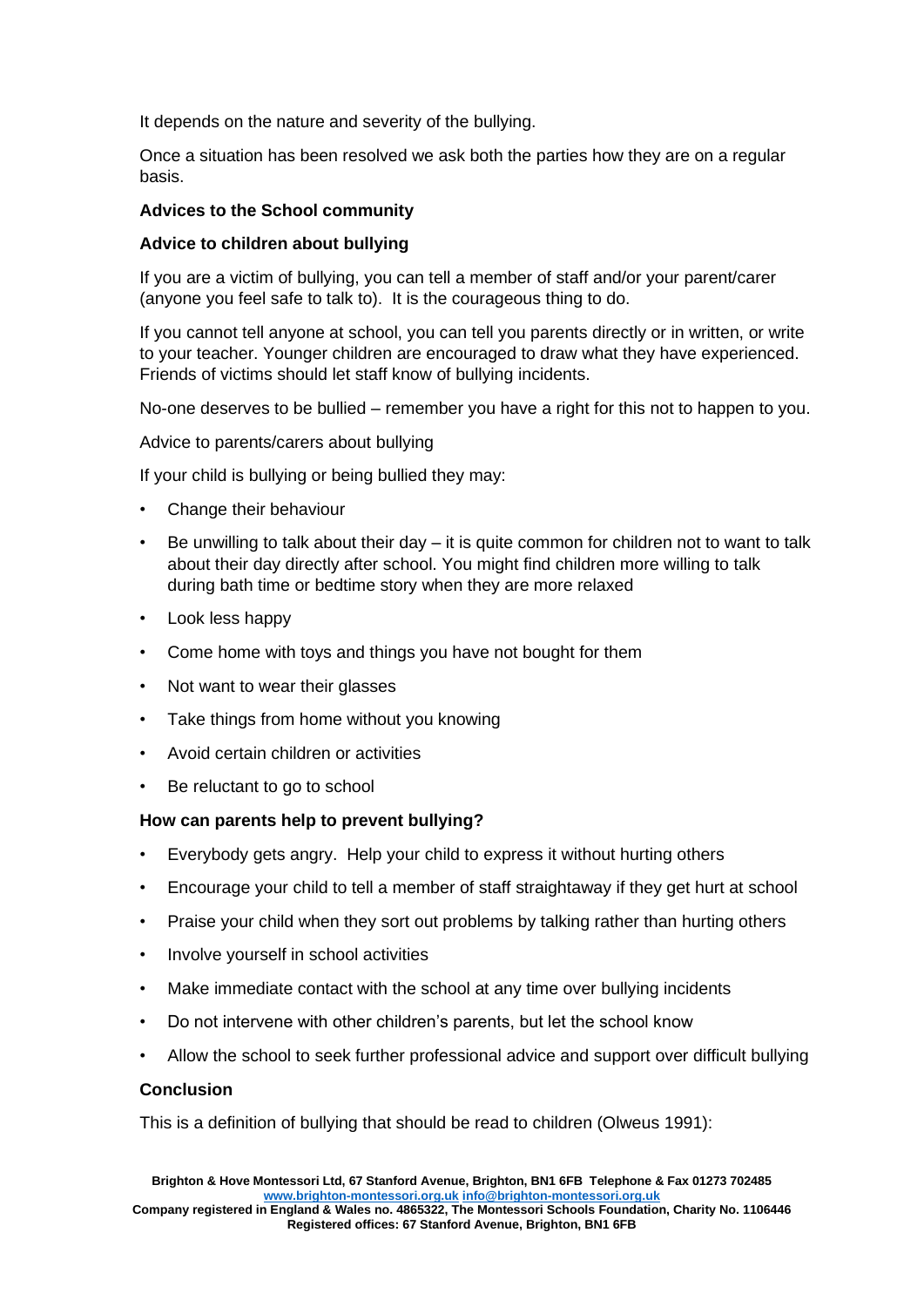It depends on the nature and severity of the bullying.

Once a situation has been resolved we ask both the parties how they are on a regular basis.

#### **Advices to the School community**

## **Advice to children about bullying**

If you are a victim of bullying, you can tell a member of staff and/or your parent/carer (anyone you feel safe to talk to). It is the courageous thing to do.

If you cannot tell anyone at school, you can tell you parents directly or in written, or write to your teacher. Younger children are encouraged to draw what they have experienced. Friends of victims should let staff know of bullying incidents.

No-one deserves to be bullied – remember you have a right for this not to happen to you.

Advice to parents/carers about bullying

If your child is bullying or being bullied they may:

- Change their behaviour
- Be unwilling to talk about their day  $-$  it is quite common for children not to want to talk about their day directly after school. You might find children more willing to talk during bath time or bedtime story when they are more relaxed
- Look less happy
- Come home with toys and things you have not bought for them
- Not want to wear their glasses
- Take things from home without you knowing
- Avoid certain children or activities
- Be reluctant to go to school

#### **How can parents help to prevent bullying?**

- Everybody gets angry. Help your child to express it without hurting others
- Encourage your child to tell a member of staff straightaway if they get hurt at school
- Praise your child when they sort out problems by talking rather than hurting others
- Involve yourself in school activities
- Make immediate contact with the school at any time over bullying incidents
- Do not intervene with other children's parents, but let the school know
- Allow the school to seek further professional advice and support over difficult bullying

#### **Conclusion**

This is a definition of bullying that should be read to children (Olweus 1991):

**Company registered in England & Wales no. 4865322, The Montessori Schools Foundation, Charity No. 1106446 Registered offices: 67 Stanford Avenue, Brighton, BN1 6FB**